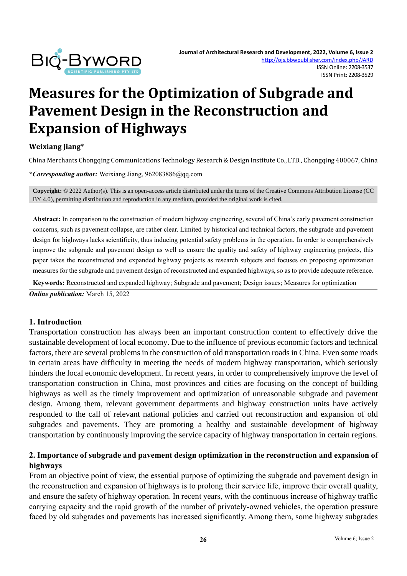

# **Measures for the Optimization of Subgrade and Pavement Design in the Reconstruction and Expansion of Highways**

**Weixiang Jiang\***

China Merchants Chongqing Communications Technology Research & Design Institute Co., LTD., Chongqing 400067, China

**\****Corresponding author:* Weixiang Jiang, 962083886@qq.com

**Copyright:** © 2022 Author(s). This is an open-access article distributed under the terms of th[e Creative Commons Attribution License \(CC](https://creativecommons.org/licenses/by/4.0/)  [BY 4.0\),](https://creativecommons.org/licenses/by/4.0/) permitting distribution and reproduction in any medium, provided the original work is cited.

**Abstract:** In comparison to the construction of modern highway engineering, several of China's early pavement construction concerns, such as pavement collapse, are rather clear. Limited by historical and technical factors, the subgrade and pavement design for highways lacks scientificity, thus inducing potential safety problems in the operation. In order to comprehensively improve the subgrade and pavement design as well as ensure the quality and safety of highway engineering projects, this paper takes the reconstructed and expanded highway projects as research subjects and focuses on proposing optimization measures for the subgrade and pavement design of reconstructed and expanded highways, so as to provide adequate reference.

**Keywords:** Reconstructed and expanded highway; Subgrade and pavement; Design issues; Measures for optimization

*Online publication:* March 15, 2022

#### **1. Introduction**

Transportation construction has always been an important construction content to effectively drive the sustainable development of local economy. Due to the influence of previous economic factors and technical factors, there are several problems in the construction of old transportation roads in China. Even some roads in certain areas have difficulty in meeting the needs of modern highway transportation, which seriously hinders the local economic development. In recent years, in order to comprehensively improve the level of transportation construction in China, most provinces and cities are focusing on the concept of building highways as well as the timely improvement and optimization of unreasonable subgrade and pavement design. Among them, relevant government departments and highway construction units have actively responded to the call of relevant national policies and carried out reconstruction and expansion of old subgrades and pavements. They are promoting a healthy and sustainable development of highway transportation by continuously improving the service capacity of highway transportation in certain regions.

#### **2. Importance of subgrade and pavement design optimization in the reconstruction and expansion of highways**

From an objective point of view, the essential purpose of optimizing the subgrade and pavement design in the reconstruction and expansion of highways is to prolong their service life, improve their overall quality, and ensure the safety of highway operation. In recent years, with the continuous increase of highway traffic carrying capacity and the rapid growth of the number of privately-owned vehicles, the operation pressure faced by old subgrades and pavements has increased significantly. Among them, some highway subgrades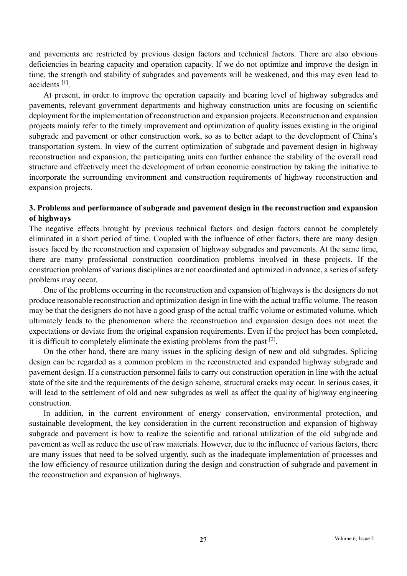and pavements are restricted by previous design factors and technical factors. There are also obvious deficiencies in bearing capacity and operation capacity. If we do not optimize and improve the design in time, the strength and stability of subgrades and pavements will be weakened, and this may even lead to accidents<sup>[1]</sup>.

At present, in order to improve the operation capacity and bearing level of highway subgrades and pavements, relevant government departments and highway construction units are focusing on scientific deployment for the implementation of reconstruction and expansion projects. Reconstruction and expansion projects mainly refer to the timely improvement and optimization of quality issues existing in the original subgrade and pavement or other construction work, so as to better adapt to the development of China's transportation system. In view of the current optimization of subgrade and pavement design in highway reconstruction and expansion, the participating units can further enhance the stability of the overall road structure and effectively meet the development of urban economic construction by taking the initiative to incorporate the surrounding environment and construction requirements of highway reconstruction and expansion projects.

#### **3. Problems and performance of subgrade and pavement design in the reconstruction and expansion of highways**

The negative effects brought by previous technical factors and design factors cannot be completely eliminated in a short period of time. Coupled with the influence of other factors, there are many design issues faced by the reconstruction and expansion of highway subgrades and pavements. At the same time, there are many professional construction coordination problems involved in these projects. If the construction problems of various disciplines are not coordinated and optimized in advance, a series of safety problems may occur.

One of the problems occurring in the reconstruction and expansion of highways is the designers do not produce reasonable reconstruction and optimization design in line with the actual traffic volume. The reason may be that the designers do not have a good grasp of the actual traffic volume or estimated volume, which ultimately leads to the phenomenon where the reconstruction and expansion design does not meet the expectations or deviate from the original expansion requirements. Even if the project has been completed, it is difficult to completely eliminate the existing problems from the past  $[2]$ .

On the other hand, there are many issues in the splicing design of new and old subgrades. Splicing design can be regarded as a common problem in the reconstructed and expanded highway subgrade and pavement design. If a construction personnel fails to carry out construction operation in line with the actual state of the site and the requirements of the design scheme, structural cracks may occur. In serious cases, it will lead to the settlement of old and new subgrades as well as affect the quality of highway engineering construction.

In addition, in the current environment of energy conservation, environmental protection, and sustainable development, the key consideration in the current reconstruction and expansion of highway subgrade and pavement is how to realize the scientific and rational utilization of the old subgrade and pavement as well as reduce the use of raw materials. However, due to the influence of various factors, there are many issues that need to be solved urgently, such as the inadequate implementation of processes and the low efficiency of resource utilization during the design and construction of subgrade and pavement in the reconstruction and expansion of highways.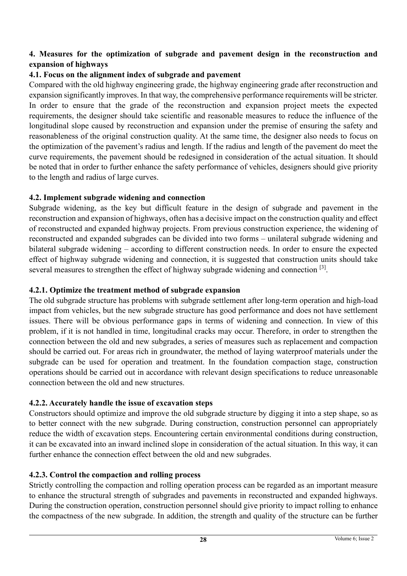# **4. Measures for the optimization of subgrade and pavement design in the reconstruction and expansion of highways**

# **4.1. Focus on the alignment index of subgrade and pavement**

Compared with the old highway engineering grade, the highway engineering grade after reconstruction and expansion significantly improves. In that way, the comprehensive performance requirements will be stricter. In order to ensure that the grade of the reconstruction and expansion project meets the expected requirements, the designer should take scientific and reasonable measures to reduce the influence of the longitudinal slope caused by reconstruction and expansion under the premise of ensuring the safety and reasonableness of the original construction quality. At the same time, the designer also needs to focus on the optimization of the pavement's radius and length. If the radius and length of the pavement do meet the curve requirements, the pavement should be redesigned in consideration of the actual situation. It should be noted that in order to further enhance the safety performance of vehicles, designers should give priority to the length and radius of large curves.

## **4.2. Implement subgrade widening and connection**

Subgrade widening, as the key but difficult feature in the design of subgrade and pavement in the reconstruction and expansion of highways, often has a decisive impact on the construction quality and effect of reconstructed and expanded highway projects. From previous construction experience, the widening of reconstructed and expanded subgrades can be divided into two forms – unilateral subgrade widening and bilateral subgrade widening – according to different construction needs. In order to ensure the expected effect of highway subgrade widening and connection, it is suggested that construction units should take several measures to strengthen the effect of highway subgrade widening and connection [3].

### **4.2.1. Optimize the treatment method of subgrade expansion**

The old subgrade structure has problems with subgrade settlement after long-term operation and high-load impact from vehicles, but the new subgrade structure has good performance and does not have settlement issues. There will be obvious performance gaps in terms of widening and connection. In view of this problem, if it is not handled in time, longitudinal cracks may occur. Therefore, in order to strengthen the connection between the old and new subgrades, a series of measures such as replacement and compaction should be carried out. For areas rich in groundwater, the method of laying waterproof materials under the subgrade can be used for operation and treatment. In the foundation compaction stage, construction operations should be carried out in accordance with relevant design specifications to reduce unreasonable connection between the old and new structures.

#### **4.2.2. Accurately handle the issue of excavation steps**

Constructors should optimize and improve the old subgrade structure by digging it into a step shape, so as to better connect with the new subgrade. During construction, construction personnel can appropriately reduce the width of excavation steps. Encountering certain environmental conditions during construction, it can be excavated into an inward inclined slope in consideration of the actual situation. In this way, it can further enhance the connection effect between the old and new subgrades.

# **4.2.3. Control the compaction and rolling process**

Strictly controlling the compaction and rolling operation process can be regarded as an important measure to enhance the structural strength of subgrades and pavements in reconstructed and expanded highways. During the construction operation, construction personnel should give priority to impact rolling to enhance the compactness of the new subgrade. In addition, the strength and quality of the structure can be further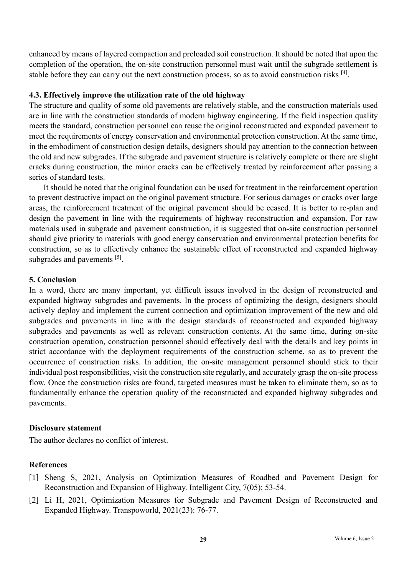enhanced by means of layered compaction and preloaded soil construction. It should be noted that upon the completion of the operation, the on-site construction personnel must wait until the subgrade settlement is stable before they can carry out the next construction process, so as to avoid construction risks [4].

# **4.3. Effectively improve the utilization rate of the old highway**

The structure and quality of some old pavements are relatively stable, and the construction materials used are in line with the construction standards of modern highway engineering. If the field inspection quality meets the standard, construction personnel can reuse the original reconstructed and expanded pavement to meet the requirements of energy conservation and environmental protection construction. At the same time, in the embodiment of construction design details, designers should pay attention to the connection between the old and new subgrades. If the subgrade and pavement structure is relatively complete or there are slight cracks during construction, the minor cracks can be effectively treated by reinforcement after passing a series of standard tests.

It should be noted that the original foundation can be used for treatment in the reinforcement operation to prevent destructive impact on the original pavement structure. For serious damages or cracks over large areas, the reinforcement treatment of the original pavement should be ceased. It is better to re-plan and design the pavement in line with the requirements of highway reconstruction and expansion. For raw materials used in subgrade and pavement construction, it is suggested that on-site construction personnel should give priority to materials with good energy conservation and environmental protection benefits for construction, so as to effectively enhance the sustainable effect of reconstructed and expanded highway subgrades and pavements [5].

# **5. Conclusion**

In a word, there are many important, yet difficult issues involved in the design of reconstructed and expanded highway subgrades and pavements. In the process of optimizing the design, designers should actively deploy and implement the current connection and optimization improvement of the new and old subgrades and pavements in line with the design standards of reconstructed and expanded highway subgrades and pavements as well as relevant construction contents. At the same time, during on-site construction operation, construction personnel should effectively deal with the details and key points in strict accordance with the deployment requirements of the construction scheme, so as to prevent the occurrence of construction risks. In addition, the on-site management personnel should stick to their individual post responsibilities, visit the construction site regularly, and accurately grasp the on-site process flow. Once the construction risks are found, targeted measures must be taken to eliminate them, so as to fundamentally enhance the operation quality of the reconstructed and expanded highway subgrades and pavements.

# **Disclosure statement**

The author declares no conflict of interest.

# **References**

- [1] Sheng S, 2021, Analysis on Optimization Measures of Roadbed and Pavement Design for Reconstruction and Expansion of Highway. Intelligent City, 7(05): 53-54.
- [2] Li H, 2021, Optimization Measures for Subgrade and Pavement Design of Reconstructed and Expanded Highway. Transpoworld, 2021(23): 76-77.